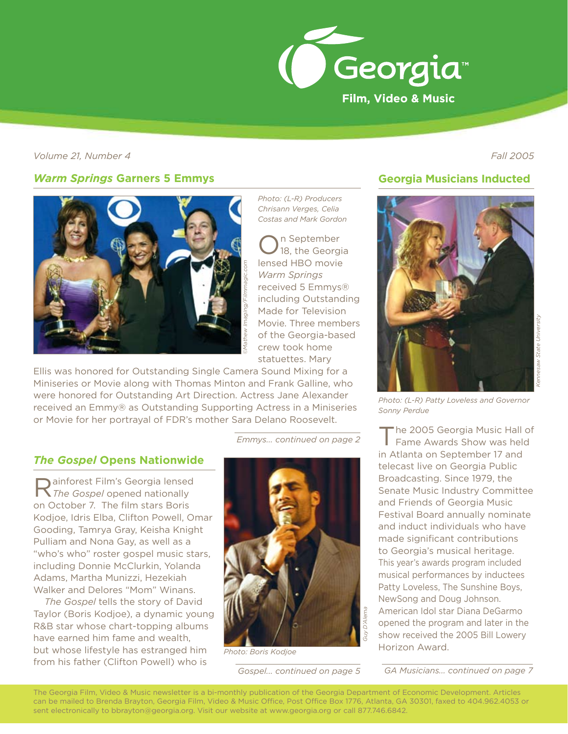

*Volume 21, Number 4 Fall 2005*

# *Warm Springs* **Garners 5 Emmys**



Ellis was honored for Outstanding Single Camera Sound Mixing for a Miniseries or Movie along with Thomas Minton and Frank Galline, who were honored for Outstanding Art Direction. Actress Jane Alexander received an Emmy® as Outstanding Supporting Actress in a Miniseries or Movie for her portrayal of FDR's mother Sara Delano Roosevelt.

*Emmys... continued on page 2*

*Photo: (L-R) Producers Chrisann Verges, Celia Costas and Mark Gordon*

lensed HBO movie *Warm Springs* received 5 Emmys® including Outstanding Made for Television Movie. Three members of the Georgia-based crew took home statuettes. Mary

n September 18, the Georgia

#### *The Gospel* **Opens Nationwide**

Rainforest Film's Georgia lensed *The Gospel* opened nationally on October 7. The film stars Boris Kodjoe, Idris Elba, Clifton Powell, Omar Gooding, Tamrya Gray, Keisha Knight Pulliam and Nona Gay, as well as a "who's who" roster gospel music stars, including Donnie McClurkin, Yolanda Adams, Martha Munizzi, Hezekiah Walker and Delores "Mom" Winans.

*The Gospel* tells the story of David Taylor (Boris Kodjoe), a dynamic young R&B star whose chart-topping albums have earned him fame and wealth, but whose lifestyle has estranged him from his father (Clifton Powell) who is



*Photo: Boris Kodjoe*

# **Georgia Musicians Inducted**



*Photo: (L-R) Patty Loveless and Governor Sonny Perdue*

The 2005 Georgia Music Hall of Fame Awards Show was held in Atlanta on September 17 and telecast live on Georgia Public Broadcasting. Since 1979, the Senate Music Industry Committee and Friends of Georgia Music Festival Board annually nominate and induct individuals who have made significant contributions to Georgia's musical heritage. This year's awards program included musical performances by inductees Patty Loveless, The Sunshine Boys, NewSong and Doug Johnson. American Idol star Diana DeGarmo opened the program and later in the show received the 2005 Bill Lowery Horizon Award.

*Gospel... continued on page 5 GA Musicians... continued on page 7*

The Georgia Film, Video & Music newsletter is a bi-monthly publication of the Georgia Department of Economic Development. Articles can be mailed to Brenda Brayton, Georgia Film, Video & Music Office, Post Office Box 1776, Atlanta, GA 30301, faxed to 404.962.4053 or sent electronically to bbrayton@georgia.org. Visit our website at www.georgia.org or call 877.746.6842.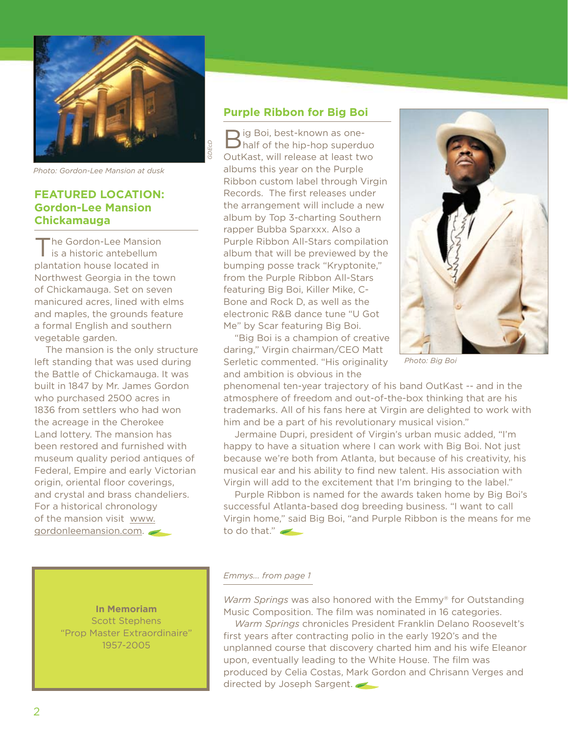

*Photo: Gordon-Lee Mansion at dusk*

# **FEATURED LOCATION: Gordon-Lee Mansion Chickamauga**

The Gordon-Lee Mansion is a historic antebellum plantation house located in Northwest Georgia in the town of Chickamauga. Set on seven manicured acres, lined with elms and maples, the grounds feature a formal English and southern vegetable garden.

The mansion is the only structure left standing that was used during the Battle of Chickamauga. It was built in 1847 by Mr. James Gordon who purchased 2500 acres in 1836 from settlers who had won the acreage in the Cherokee Land lottery. The mansion has been restored and furnished with museum quality period antiques of Federal, Empire and early Victorian origin, oriental floor coverings, and crystal and brass chandeliers. For a historical chronology of the mansion visit www. gordonleemansion.com.

> **In Memoriam** Scott Stephens "Prop Master Extraordinaire" 1957-2005

### **Purple Ribbon for Big Boi**

 $\Box$  ig Boi, best-known as one-**Thalf of the hip-hop superduo** OutKast, will release at least two albums this year on the Purple Ribbon custom label through Virgin Records. The first releases under the arrangement will include a new album by Top 3-charting Southern rapper Bubba Sparxxx. Also a Purple Ribbon All-Stars compilation album that will be previewed by the bumping posse track "Kryptonite," from the Purple Ribbon All-Stars featuring Big Boi, Killer Mike, C-Bone and Rock D, as well as the electronic R&B dance tune "U Got Me" by Scar featuring Big Boi.

"Big Boi is a champion of creative daring," Virgin chairman/CEO Matt Serletic commented. "His originality and ambition is obvious in the



*Photo: Big Boi*

phenomenal ten-year trajectory of his band OutKast -- and in the atmosphere of freedom and out-of-the-box thinking that are his trademarks. All of his fans here at Virgin are delighted to work with him and be a part of his revolutionary musical vision."

Jermaine Dupri, president of Virgin's urban music added, "I'm happy to have a situation where I can work with Big Boi. Not just because we're both from Atlanta, but because of his creativity, his musical ear and his ability to find new talent. His association with Virgin will add to the excitement that I'm bringing to the label."

Purple Ribbon is named for the awards taken home by Big Boi's successful Atlanta-based dog breeding business. "I want to call Virgin home," said Big Boi, "and Purple Ribbon is the means for me to do that."

#### *Emmys... from page 1*

*Warm Springs* was also honored with the Emmy® for Outstanding Music Composition. The film was nominated in 16 categories.

*Warm Springs* chronicles President Franklin Delano Roosevelt's first years after contracting polio in the early 1920's and the unplanned course that discovery charted him and his wife Eleanor upon, eventually leading to the White House. The film was produced by Celia Costas, Mark Gordon and Chrisann Verges and directed by Joseph Sargent.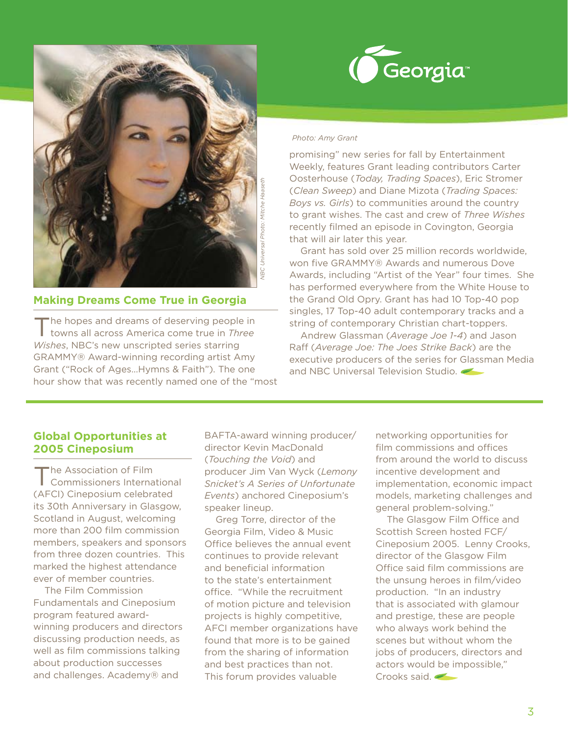



# **Making Dreams Come True in Georgia**

 $\blacksquare$  he hopes and dreams of deserving people in towns all across America come true in *Three Wishes*, NBC's new unscripted series starring GRAMMY® Award-winning recording artist Amy Grant ("Rock of Ages…Hymns & Faith"). The one hour show that was recently named one of the "most

#### *Photo: Amy Grant*

promising" new series for fall by Entertainment Weekly, features Grant leading contributors Carter Oosterhouse (*Today, Trading Spaces*), Eric Stromer (*Clean Sweep*) and Diane Mizota (*Trading Spaces: Boys vs. Girls*) to communities around the country to grant wishes. The cast and crew of *Three Wishes*  recently filmed an episode in Covington, Georgia that will air later this year.

Grant has sold over 25 million records worldwide, won five GRAMMY® Awards and numerous Dove Awards, including "Artist of the Year" four times. She has performed everywhere from the White House to the Grand Old Opry. Grant has had 10 Top-40 pop singles, 17 Top-40 adult contemporary tracks and a string of contemporary Christian chart-toppers.

Andrew Glassman (*Average Joe 1-4*) and Jason Raff (*Average Joe: The Joes Strike Back*) are the executive producers of the series for Glassman Media and NBC Universal Television Studio.

## **Global Opportunities at 2005 Cineposium**

he Association of Film Commissioners International (AFCI) Cineposium celebrated its 30th Anniversary in Glasgow, Scotland in August, welcoming more than 200 film commission members, speakers and sponsors from three dozen countries. This marked the highest attendance ever of member countries.

The Film Commission Fundamentals and Cineposium program featured awardwinning producers and directors discussing production needs, as well as film commissions talking about production successes and challenges. Academy® and

BAFTA-award winning producer/ director Kevin MacDonald (*Touching the Void*) and producer Jim Van Wyck (*Lemony Snicket's A Series of Unfortunate Events*) anchored Cineposium's speaker lineup.

Greg Torre, director of the Georgia Film, Video & Music Office believes the annual event continues to provide relevant and beneficial information to the state's entertainment office. "While the recruitment of motion picture and television projects is highly competitive, AFCI member organizations have found that more is to be gained from the sharing of information and best practices than not. This forum provides valuable

networking opportunities for film commissions and offices from around the world to discuss incentive development and implementation, economic impact models, marketing challenges and general problem-solving."

The Glasgow Film Office and Scottish Screen hosted FCF/ Cineposium 2005. Lenny Crooks, director of the Glasgow Film Office said film commissions are the unsung heroes in film/video production. "In an industry that is associated with glamour and prestige, these are people who always work behind the scenes but without whom the jobs of producers, directors and actors would be impossible," Crooks said.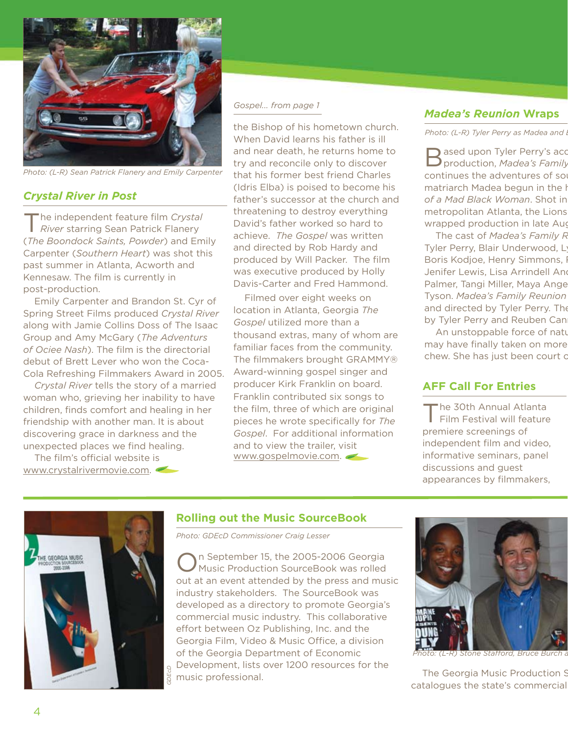

*Photo: (L-R) Sean Patrick Flanery and Emily Carpenter*

## *Crystal River in Post*

The independent feature film *Crystal River* starring Sean Patrick Flanery (*The Boondock Saints, Powder*) and Emily Carpenter (*Southern Heart*) was shot this past summer in Atlanta, Acworth and Kennesaw. The film is currently in post-production.

Emily Carpenter and Brandon St. Cyr of Spring Street Films produced *Crystal River*  along with Jamie Collins Doss of The Isaac Group and Amy McGary (*The Adventurs of Ociee Nash*). The film is the directorial debut of Brett Lever who won the Coca-Cola Refreshing Filmmakers Award in 2005.

*Crystal River* tells the story of a married woman who, grieving her inability to have children, finds comfort and healing in her friendship with another man. It is about discovering grace in darkness and the unexpected places we find healing.

The film's official website is www.crystalrivermovie.com.

#### *Gospel... from page 1*

the Bishop of his hometown church. When David learns his father is ill and near death, he returns home to try and reconcile only to discover that his former best friend Charles (Idris Elba) is poised to become his father's successor at the church and threatening to destroy everything David's father worked so hard to achieve. *The Gospel* was written and directed by Rob Hardy and produced by Will Packer. The film was executive produced by Holly Davis-Carter and Fred Hammond.

Filmed over eight weeks on location in Atlanta, Georgia *The Gospel* utilized more than a thousand extras, many of whom are familiar faces from the community. The filmmakers brought GRAMMY® Award-winning gospel singer and producer Kirk Franklin on board. Franklin contributed six songs to the film, three of which are original pieces he wrote specifically for *The Gospel*. For additional information and to view the trailer, visit www.gospelmovie.com.

### *Madea's Reunion* **Wraps**

Photo: (L-R) Tyler Perry as Madea and I

ased upon Tyler Perry's acclaimed a **P** production, *Madea's Family* continues the adventures of so matriarch Madea begun in the *l* of a Mad Black Woman. Shot in metropolitan Atlanta, the Lions wrapped production in late Aug

The cast of *Madea's Family R* Tyler Perry, Blair Underwood, L Boris Kodjoe, Henry Simmons, I Jenifer Lewis, Lisa Arrindell And Palmer, Tangi Miller, Maya Ange Tyson. Madea's Family Reunion and directed by Tyler Perry. The by Tyler Perry and Reuben Can

An unstoppable force of nature may have finally taken on more chew. She has just been court of

# **AFF Call For Entries**

The 30th Annual Atlanta Film Festival will feature premiere screenings of independent film and video, informative seminars, panel discussions and guest appearances by filmmakers,



# **Rolling out the Music SourceBook**

*Photo: GDEcD Commissioner Craig Lesser*

On September 15, the 2005-2006 Georgia Music Production SourceBook was rolled out at an event attended by the press and music industry stakeholders. The SourceBook was developed as a directory to promote Georgia's commercial music industry. This collaborative effort between Oz Publishing, Inc. and the Georgia Film, Video & Music Office, a division of the Georgia Department of Economic Development, lists over 1200 resources for the music professional. The Georgia Music Production Source



*Photo: (L-R) Stone Stafford, Bruce Burch and Bishop Carr*

catalogues the state's commercial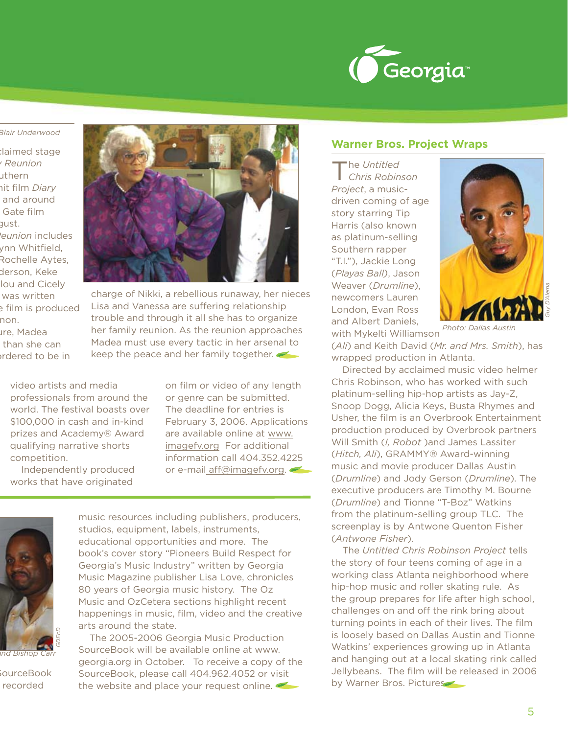

#### *Photo: (L-R) Tyler Perry as Madea and Blair Underwood*

Baimed stage production, *Madea's Family Reunion*  uthern nit film *Diary* and around Gate film gust. The cast of *Madea's Family Reunion* includes ynn Whitfield, Rochelle Aytes, derson, Keke lou and Cicely was written e film is produced non. are, Madea than she can ordered to be in



charge of Nikki, a rebellious runaway, her nieces Lisa and Vanessa are suffering relationship trouble and through it all she has to organize her family reunion. As the reunion approaches Madea must use every tactic in her arsenal to keep the peace and her family together.

video artists and media professionals from around the world. The festival boasts over \$100,000 in cash and in-kind prizes and Academy® Award qualifying narrative shorts competition.

Independently produced works that have originated

on film or video of any length or genre can be submitted. The deadline for entries is February 3, 2006. Applications are available online at www. imagefv.org For additional information call 404.352.4225 or e-mail aff@imagefv.org.



*Photo: (L-R) Stone Stafford, Bruce Burch and Bishop Carr*

 $\mathop{\text{sourceBook}}$ recorded

music resources including publishers, producers, studios, equipment, labels, instruments, educational opportunities and more. The book's cover story "Pioneers Build Respect for Georgia's Music Industry" written by Georgia Music Magazine publisher Lisa Love, chronicles 80 years of Georgia music history. The Oz Music and OzCetera sections highlight recent happenings in music, film, video and the creative arts around the state.

The 2005-2006 Georgia Music Production SourceBook will be available online at www. georgia.org in October. To receive a copy of the SourceBook, please call 404.962.4052 or visit the website and place your request online.

#### **Warner Bros. Project Wraps**

The *Untitled Chris Robinson Project*, a musicdriven coming of age story starring Tip Harris (also known as platinum-selling Southern rapper "T.I."), Jackie Long (*Playas Ball)*, Jason Weaver (*Drumline*), newcomers Lauren London, Evan Ross and Albert Daniels,



with Mykelti Williamson *Photo: Dallas Austin*

(*Ali*) and Keith David (*Mr. and Mrs. Smith*), has wrapped production in Atlanta.

Directed by acclaimed music video helmer Chris Robinson, who has worked with such platinum-selling hip-hop artists as Jay-Z, Snoop Dogg, Alicia Keys, Busta Rhymes and Usher, the film is an Overbrook Entertainment production produced by Overbrook partners Will Smith (*I, Robot* )and James Lassiter (*Hitch, Ali*), GRAMMY® Award-winning music and movie producer Dallas Austin (*Drumline*) and Jody Gerson (*Drumline*). The executive producers are Timothy M. Bourne (*Drumline*) and Tionne "T-Boz" Watkins from the platinum-selling group TLC. The screenplay is by Antwone Quenton Fisher (*Antwone Fisher*).

The *Untitled Chris Robinson Project* tells the story of four teens coming of age in a working class Atlanta neighborhood where hip-hop music and roller skating rule. As the group prepares for life after high school, challenges on and off the rink bring about turning points in each of their lives. The film is loosely based on Dallas Austin and Tionne Watkins' experiences growing up in Atlanta and hanging out at a local skating rink called Jellybeans. The film will be released in 2006 by Warner Bros. Pictures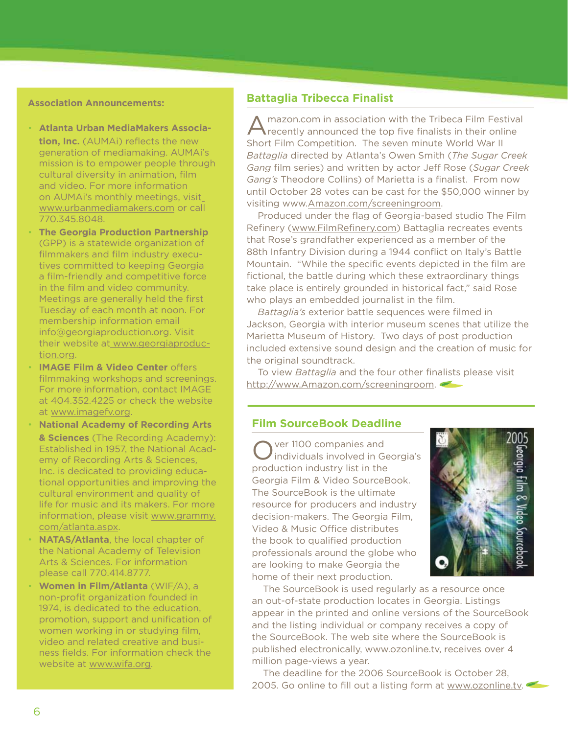#### **Association Announcements:**

- **Atlanta Urban MediaMakers Associa- tion, Inc.** (AUMAi) reflects the new generation of mediamaking. AUMAi's mission is to empower people through cultural diversity in animation, film and video. For more information on AUMAi's monthly meetings, visit www.urbanmediamakers.com or call 770.345.8048.
- **The Georgia Production Partnership** (GPP) is a statewide organization of filmmakers and film industry executives committed to keeping Georgia a film-friendly and competitive force in the film and video community. Meetings are generally held the first Tuesday of each month at noon. For membership information email info@georgiaproduction.org. Visit their website at www.georgiaproduction.org. •
- **IMAGE Film & Video Center offers** filmmaking workshops and screenings. For more information, contact IMAGE at 404.352.4225 or check the website at www.imagefv.org.
- **National Academy of Recording Arts & Sciences** (The Recording Academy): Established in 1957, the National Academy of Recording Arts & Sciences, Inc. is dedicated to providing educational opportunities and improving the cultural environment and quality of life for music and its makers. For more information, please visit www.grammy. com/atlanta.aspx.
- **NATAS/Atlanta**, the local chapter of the National Academy of Television Arts & Sciences. For information please call 770.414.8777.
- **Women in Film/Atlanta** (WIF/A), a non-profit organization founded in 1974, is dedicated to the education, promotion, support and unification of women working in or studying film, video and related creative and business fields. For information check the website at www.wifa.org.

### **Battaglia Tribecca Finalist**

A mazon.com in association with the Tribeca Film Festival recently announced the top five finalists in their online Short Film Competition. The seven minute World War II *Battaglia* directed by Atlanta's Owen Smith (*The Sugar Creek Gang* film series) and written by actor Jeff Rose (*Sugar Creek Gang's* Theodore Collins) of Marietta is a finalist. From now until October 28 votes can be cast for the \$50,000 winner by visiting www.Amazon.com/screeningroom.

Produced under the flag of Georgia-based studio The Film Refinery (www.FilmRefinery.com) Battaglia recreates events that Rose's grandfather experienced as a member of the 88th Infantry Division during a 1944 conflict on Italy's Battle Mountain. "While the specific events depicted in the film are fictional, the battle during which these extraordinary things take place is entirely grounded in historical fact," said Rose who plays an embedded journalist in the film.

*Battaglia's* exterior battle sequences were filmed in Jackson, Georgia with interior museum scenes that utilize the Marietta Museum of History. Two days of post production included extensive sound design and the creation of music for the original soundtrack.

To view *Battaglia* and the four other finalists please visit http://www.Amazon.com/screeningroom.

# **Film SourceBook Deadline**

Over 1100 companies and individuals involved in Georgia's production industry list in the Georgia Film & Video SourceBook. The SourceBook is the ultimate resource for producers and industry decision-makers. The Georgia Film, Video & Music Office distributes the book to qualified production professionals around the globe who are looking to make Georgia the home of their next production.



The SourceBook is used regularly as a resource once an out-of-state production locates in Georgia. Listings appear in the printed and online versions of the SourceBook and the listing individual or company receives a copy of the SourceBook. The web site where the SourceBook is published electronically, www.ozonline.tv, receives over 4 million page-views a year.

The deadline for the 2006 SourceBook is October 28, 2005. Go online to fill out a listing form at www.ozonline.tv.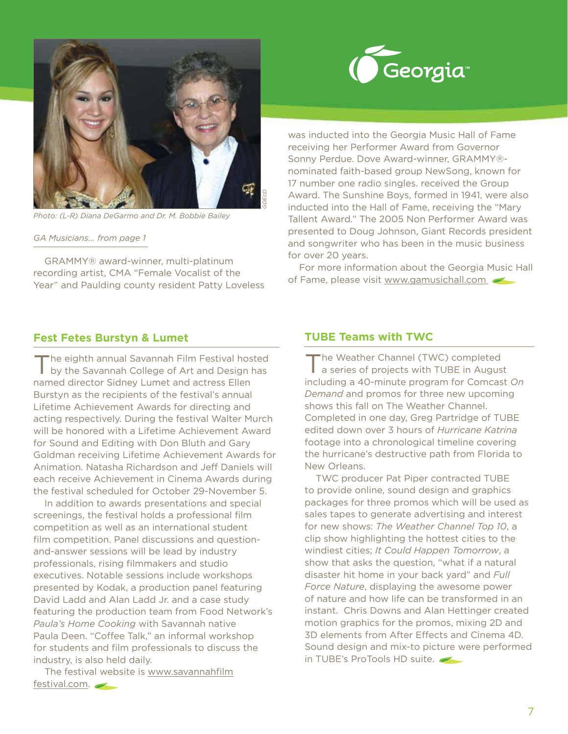

*Photo: (L-R) Diana DeGarmo and Dr. M. Bobbie Bailey*

*GA Musicians... from page 1*

GRAMMY® award-winner, multi-platinum recording artist, CMA "Female Vocalist of the Year" and Paulding county resident Patty Loveless

#### **Fest Fetes Burstyn & Lumet**

The eighth annual Savannah Film Festival hosted by the Savannah College of Art and Design has named director Sidney Lumet and actress Ellen Burstyn as the recipients of the festival's annual Lifetime Achievement Awards for directing and acting respectively. During the festival Walter Murch will be honored with a Lifetime Achievement Award for Sound and Editing with Don Bluth and Gary Goldman receiving Lifetime Achievement Awards for Animation. Natasha Richardson and Jeff Daniels will each receive Achievement in Cinema Awards during the festival scheduled for October 29-November 5.

In addition to awards presentations and special screenings, the festival holds a professional film competition as well as an international student film competition. Panel discussions and questionand-answer sessions will be lead by industry professionals, rising filmmakers and studio executives. Notable sessions include workshops presented by Kodak, a production panel featuring David Ladd and Alan Ladd Jr. and a case study featuring the production team from Food Network's *Paula's Home Cooking* with Savannah native Paula Deen. "Coffee Talk," an informal workshop for students and film professionals to discuss the industry, is also held daily.

The festival website is www.savannahfilm festival.com.



was inducted into the Georgia Music Hall of Fame receiving her Performer Award from Governor Sonny Perdue. Dove Award-winner, GRAMMY® nominated faith-based group NewSong, known for 17 number one radio singles. received the Group Award. The Sunshine Boys, formed in 1941, were also inducted into the Hall of Fame, receiving the "Mary Tallent Award." The 2005 Non Performer Award was presented to Doug Johnson, Giant Records president and songwriter who has been in the music business for over 20 years.

For more information about the Georgia Music Hall of Fame, please visit www.gamusichall.com.

## **TUBE Teams with TWC**

The Weather Channel (TWC) completed a series of projects with TUBE in August including a 40-minute program for Comcast *On Demand* and promos for three new upcoming shows this fall on The Weather Channel. Completed in one day, Greg Partridge of TUBE edited down over 3 hours of *Hurricane Katrina* footage into a chronological timeline covering the hurricane's destructive path from Florida to New Orleans.

TWC producer Pat Piper contracted TUBE to provide online, sound design and graphics packages for three promos which will be used as sales tapes to generate advertising and interest for new shows: *The Weather Channel Top 10*, a clip show highlighting the hottest cities to the windiest cities; *It Could Happen Tomorrow*, a show that asks the question, "what if a natural disaster hit home in your back yard" and *Full Force Nature*, displaying the awesome power of nature and how life can be transformed in an instant. Chris Downs and Alan Hettinger created motion graphics for the promos, mixing 2D and 3D elements from After Effects and Cinema 4D. Sound design and mix-to picture were performed in TUBE's ProTools HD suite.